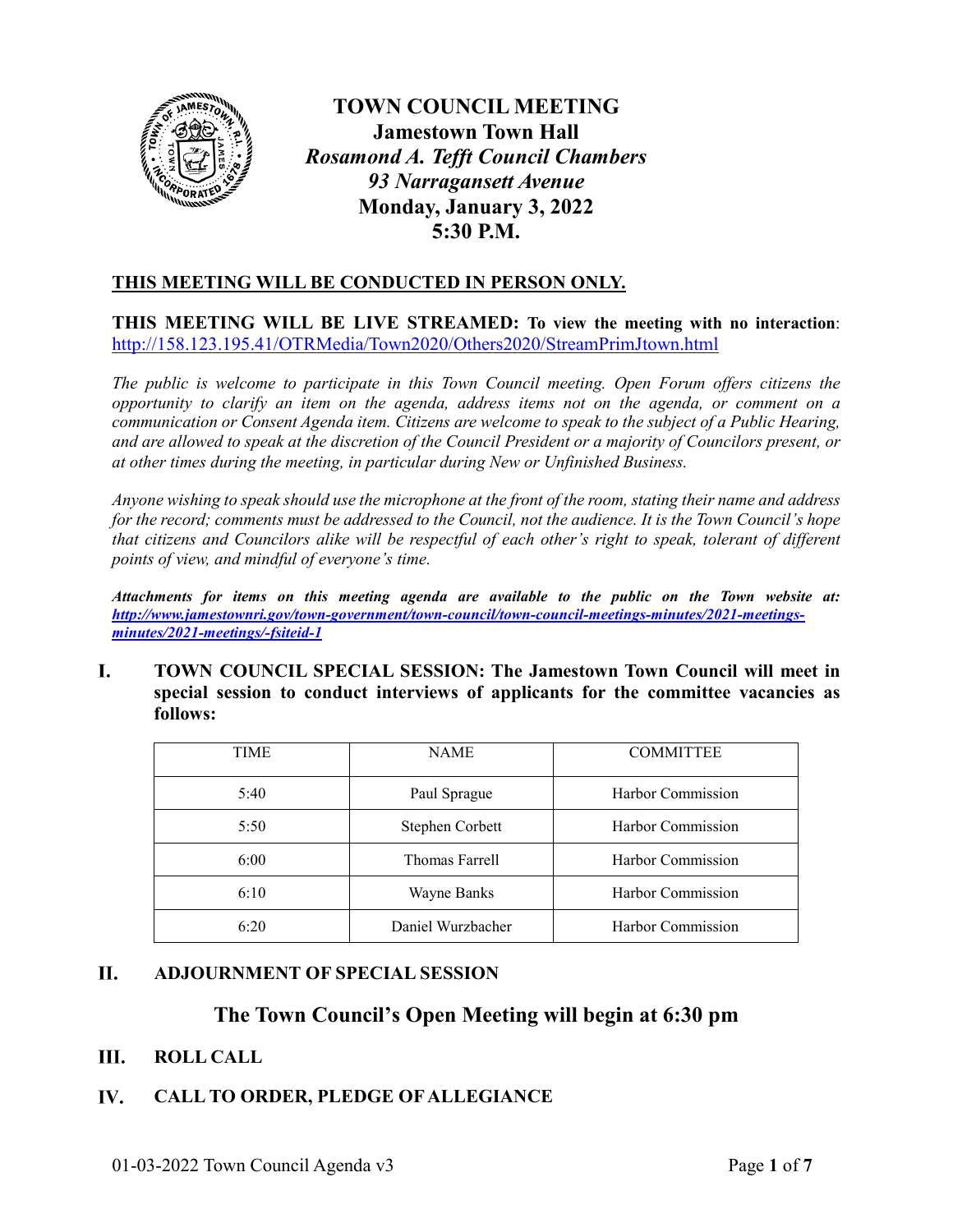

**TOWN COUNCIL MEETING Jamestown Town Hall** *Rosamond A. Tefft Council Chambers 93 Narragansett Avenue* **Monday, January 3, 2022 5:30 P.M.**

# **THIS MEETING WILL BE CONDUCTED IN PERSON ONLY.**

**THIS MEETING WILL BE LIVE STREAMED: To view the meeting with no interaction**: <http://158.123.195.41/OTRMedia/Town2020/Others2020/StreamPrimJtown.html>

*The public is welcome to participate in this Town Council meeting. Open Forum offers citizens the opportunity to clarify an item on the agenda, address items not on the agenda, or comment on a communication or Consent Agenda item. Citizens are welcome to speak to the subject of a Public Hearing, and are allowed to speak at the discretion of the Council President or a majority of Councilors present, or at other times during the meeting, in particular during New or Unfinished Business.* 

*Anyone wishing to speak should use the microphone at the front of the room, stating their name and address for the record; comments must be addressed to the Council, not the audience. It is the Town Council's hope that citizens and Councilors alike will be respectful of each other's right to speak, tolerant of different points of view, and mindful of everyone's time.*

*Attachments for items on this meeting agenda are available to the public on the Town website at: [http://www.jamestownri.gov/town-government/town-council/town-council-meetings-minutes/2021-meetings](http://www.jamestownri.gov/town-government/town-council/town-council-meetings-minutes/2021-meetings-minutes/2021-meetings/-fsiteid-1)[minutes/2021-meetings/-fsiteid-1](http://www.jamestownri.gov/town-government/town-council/town-council-meetings-minutes/2021-meetings-minutes/2021-meetings/-fsiteid-1)*

L. **TOWN COUNCIL SPECIAL SESSION: The Jamestown Town Council will meet in special session to conduct interviews of applicants for the committee vacancies as follows:**

| <b>TIME</b> | <b>NAME</b>       | <b>COMMITTEE</b>  |
|-------------|-------------------|-------------------|
| 5:40        | Paul Sprague      | Harbor Commission |
| 5:50        | Stephen Corbett   | Harbor Commission |
| 6:00        | Thomas Farrell    | Harbor Commission |
| 6:10        | Wayne Banks       | Harbor Commission |
| 6:20        | Daniel Wurzbacher | Harbor Commission |

#### **II. ADJOURNMENT OF SPECIAL SESSION**

# **The Town Council's Open Meeting will begin at 6:30 pm**

#### III. **ROLL CALL**

### IV. **CALL TO ORDER, PLEDGE OF ALLEGIANCE**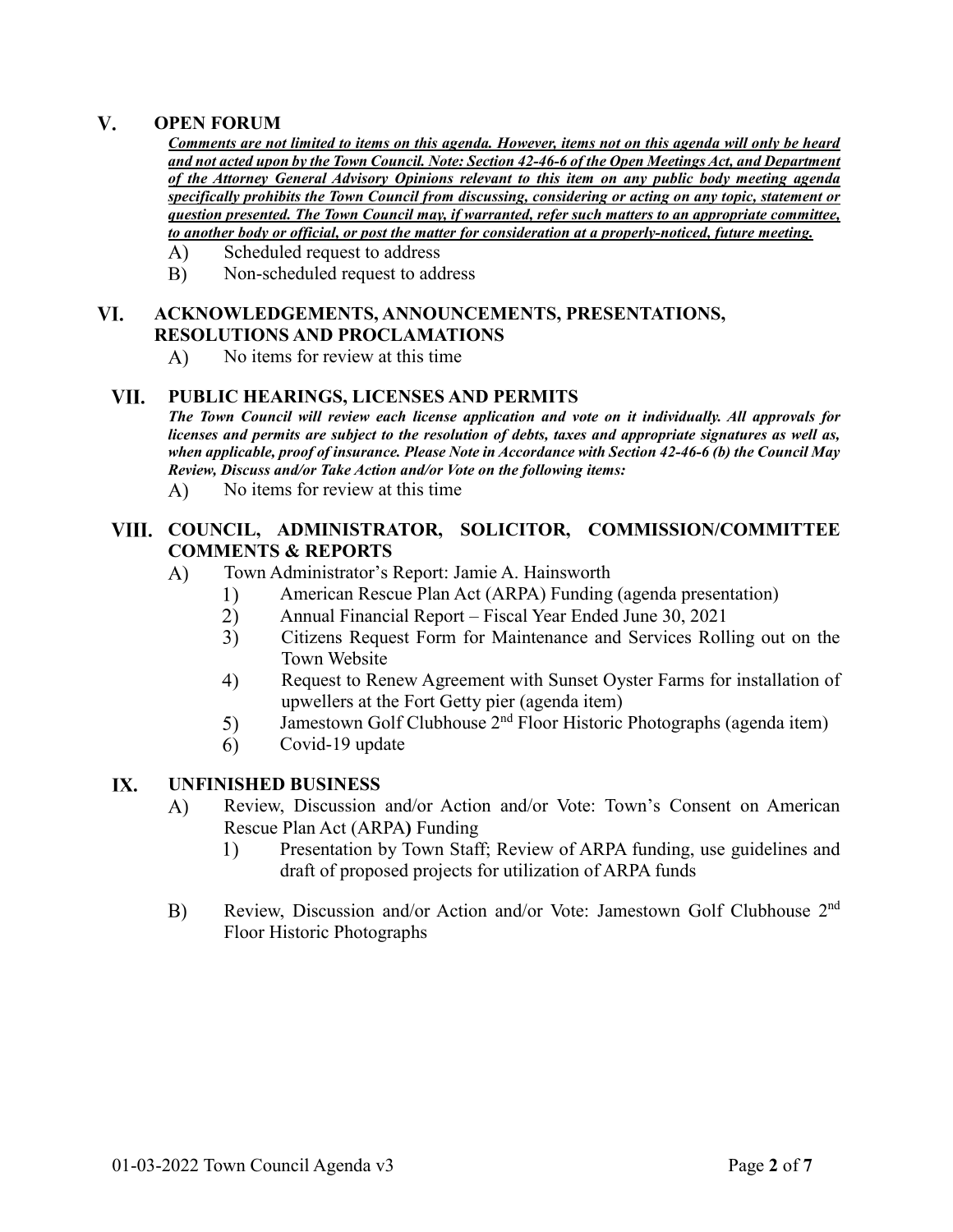#### $V_{\cdot}$ **OPEN FORUM**

*Comments are not limited to items on this agenda. However, items not on this agenda will only be heard and not acted upon by the Town Council. Note: Section 42-46-6 of the Open Meetings Act, and Department of the Attorney General Advisory Opinions relevant to this item on any public body meeting agenda specifically prohibits the Town Council from discussing, considering or acting on any topic, statement or question presented. The Town Council may, if warranted, refer such matters to an appropriate committee, to another body or official, or post the matter for consideration at a properly-noticed, future meeting.*

- $\bf{A}$ Scheduled request to address
- $B)$ Non-scheduled request to address

### VI. **ACKNOWLEDGEMENTS, ANNOUNCEMENTS, PRESENTATIONS, RESOLUTIONS AND PROCLAMATIONS**

A) No items for review at this time

#### VII. **PUBLIC HEARINGS, LICENSES AND PERMITS**

*The Town Council will review each license application and vote on it individually. All approvals for licenses and permits are subject to the resolution of debts, taxes and appropriate signatures as well as, when applicable, proof of insurance. Please Note in Accordance with Section 42-46-6 (b) the Council May Review, Discuss and/or Take Action and/or Vote on the following items:*

No items for review at this time A)

# **COUNCIL, ADMINISTRATOR, SOLICITOR, COMMISSION/COMMITTEE COMMENTS & REPORTS**

- $\bf{A}$ ) Town Administrator's Report: Jamie A. Hainsworth
	- American Rescue Plan Act (ARPA) Funding (agenda presentation) 1)
	- $2)$ Annual Financial Report – Fiscal Year Ended June 30, 2021
	- Citizens Request Form for Maintenance and Services Rolling out on the  $3)$ Town Website
	- $4)$ Request to Renew Agreement with Sunset Oyster Farms for installation of upwellers at the Fort Getty pier (agenda item)
	- Jamestown Golf Clubhouse 2<sup>nd</sup> Floor Historic Photographs (agenda item) 5)
	- Covid-19 update  $6)$

#### IX. **UNFINISHED BUSINESS**

- Review, Discussion and/or Action and/or Vote: Town's Consent on American  $\bf{A}$ Rescue Plan Act (ARPA**)** Funding
	- Presentation by Town Staff; Review of ARPA funding, use guidelines and  $1)$ draft of proposed projects for utilization of ARPA funds
- $B)$ Review, Discussion and/or Action and/or Vote: Jamestown Golf Clubhouse 2nd Floor Historic Photographs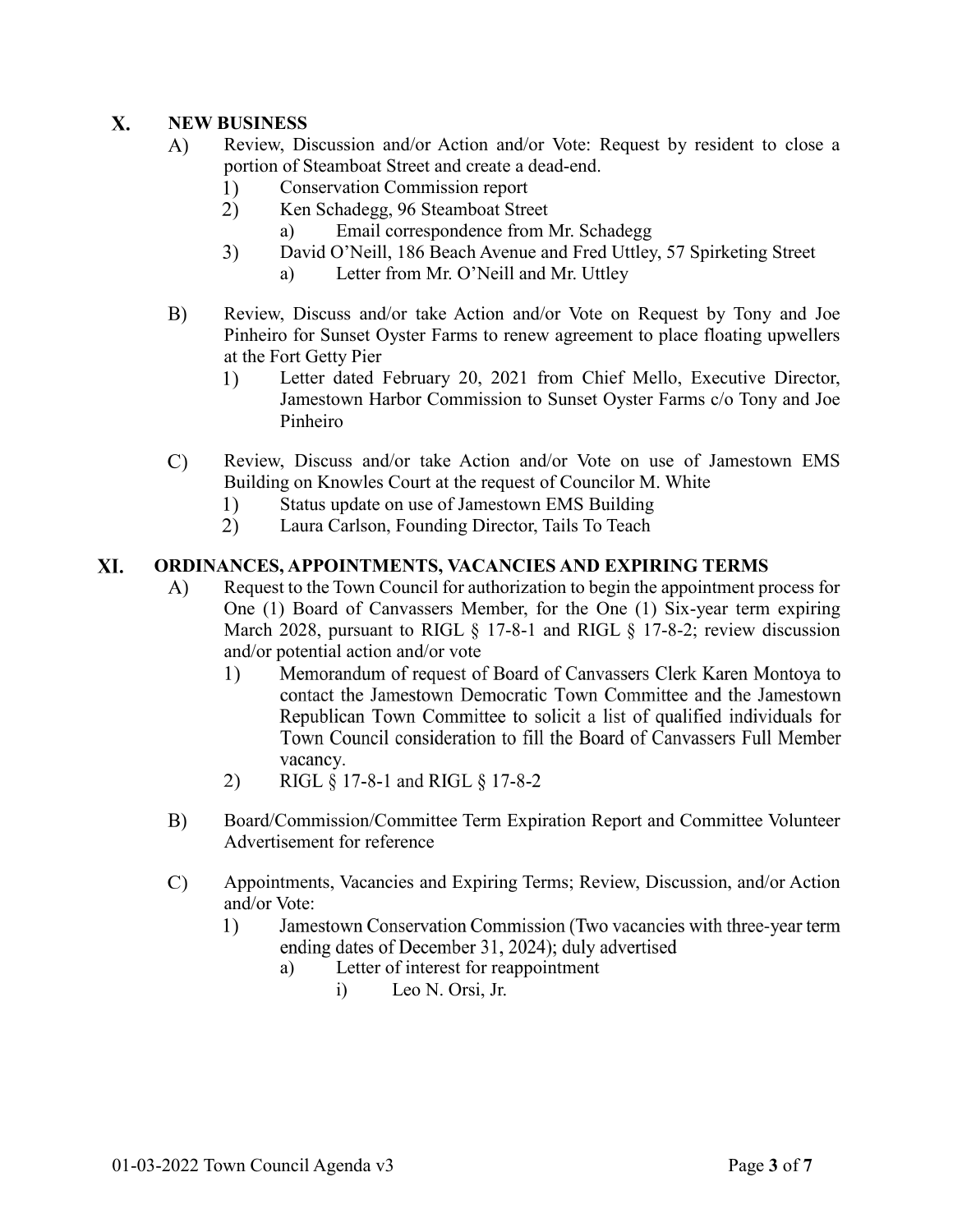### $\mathbf{X}$ . **NEW BUSINESS**

- A) Review, Discussion and/or Action and/or Vote: Request by resident to close a portion of Steamboat Street and create a dead-end.
	- $1)$ Conservation Commission report
	- $2)$ Ken Schadegg, 96 Steamboat Street
		- a) Email correspondence from Mr. Schadegg
	- $3)$ David O'Neill, 186 Beach Avenue and Fred Uttley, 57 Spirketing Street a) Letter from Mr. O'Neill and Mr. Uttley
		-
- $B)$ Review, Discuss and/or take Action and/or Vote on Request by Tony and Joe Pinheiro for Sunset Oyster Farms to renew agreement to place floating upwellers at the Fort Getty Pier
	- Letter dated February 20, 2021 from Chief Mello, Executive Director, 1) Jamestown Harbor Commission to Sunset Oyster Farms c/o Tony and Joe Pinheiro
- $\mathcal{C}$ Review, Discuss and/or take Action and/or Vote on use of Jamestown EMS Building on Knowles Court at the request of Councilor M. White
	- $1)$ Status update on use of Jamestown EMS Building
	- $(2)$ Laura Carlson, Founding Director, Tails To Teach

### XI. **ORDINANCES, APPOINTMENTS, VACANCIES AND EXPIRING TERMS**

- Request to the Town Council for authorization to begin the appointment process for A) One (1) Board of Canvassers Member, for the One (1) Six-year term expiring March 2028, pursuant to RIGL § 17-8-1 and RIGL § 17-8-2; review discussion and/or potential action and/or vote
	- Memorandum of request of Board of Canvassers Clerk Karen Montoya to  $\left( \frac{1}{2} \right)$ contact the Jamestown Democratic Town Committee and the Jamestown Republican Town Committee to solicit a list of qualified individuals for Town Council consideration to fill the Board of Canvassers Full Member vacancy.
	- $(2)$ RIGL § 17-8-1 and RIGL § 17-8-2
- $B)$ Board/Commission/Committee Term Expiration Report and Committee Volunteer Advertisement for reference
- Appointments, Vacancies and Expiring Terms; Review, Discussion, and/or Action  $\mathcal{C}$ and/or Vote:
	- $1)$ Jamestown Conservation Commission (Two vacancies with three-year term ending dates of December 31, 2024); duly advertised
		- a) Letter of interest for reappointment
			- i) Leo N. Orsi, Jr.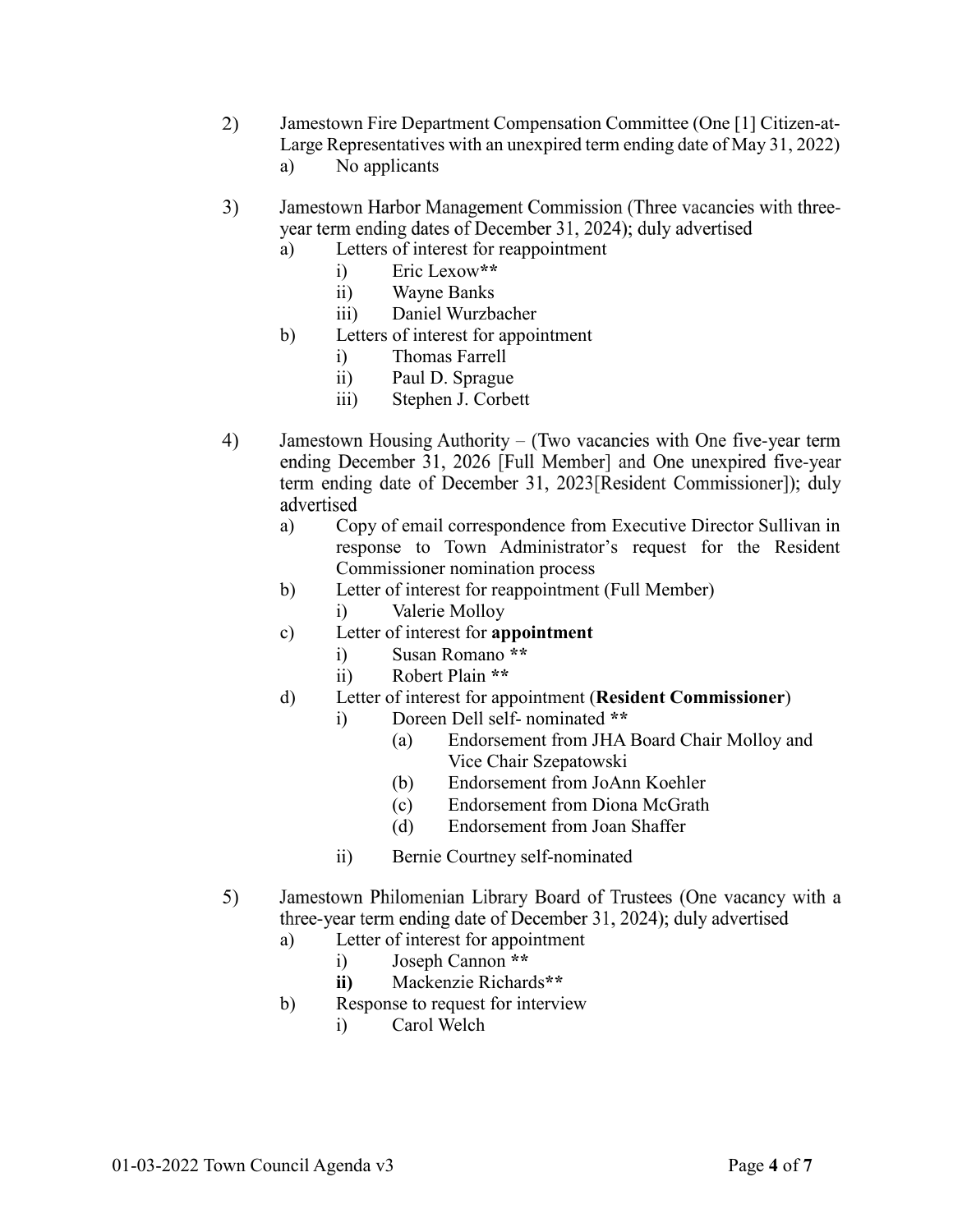- 2) Jamestown Fire Department Compensation Committee (One [1] Citizen-at-Large Representatives with an unexpired term ending date of May 31, 2022)
	- a) No applicants
- $3)$ Jamestown Harbor Management Commission (Three vacancies with threeyear term ending dates of December 31, 2024); duly advertised
	- a) Letters of interest for reappointment
		- i) Eric Lexow**\*\***
		- ii) Wayne Banks
		- iii) Daniel Wurzbacher
	- b) Letters of interest for appointment
		- i) Thomas Farrell
		- ii) Paul D. Sprague
		- iii) Stephen J. Corbett
- $4)$ Jamestown Housing Authority – (Two vacancies with One five-year term ending December 31, 2026 [Full Member] and One unexpired five-year term ending date of December 31, 2023 [Resident Commissioner]); duly advertised
	- a) Copy of email correspondence from Executive Director Sullivan in response to Town Administrator's request for the Resident Commissioner nomination process
	- b) Letter of interest for reappointment (Full Member) i) Valerie Molloy
	- c) Letter of interest for **appointment**
		- i) Susan Romano **\*\***
		- ii) Robert Plain **\*\***
	- d) Letter of interest for appointment (**Resident Commissioner**)
		- i) Doreen Dell self- nominated **\*\***
			- (a) Endorsement from JHA Board Chair Molloy and Vice Chair Szepatowski
			- (b) Endorsement from JoAnn Koehler
			- (c) Endorsement from Diona McGrath
			- (d) Endorsement from Joan Shaffer
		- ii) Bernie Courtney self-nominated
- $5)$ Jamestown Philomenian Library Board of Trustees (One vacancy with a three-year term ending date of December 31, 2024); duly advertised
	- a) Letter of interest for appointment
		- i) Joseph Cannon **\*\***
		- **ii)** Mackenzie Richards**\*\***
	- b) Response to request for interview
		- i) Carol Welch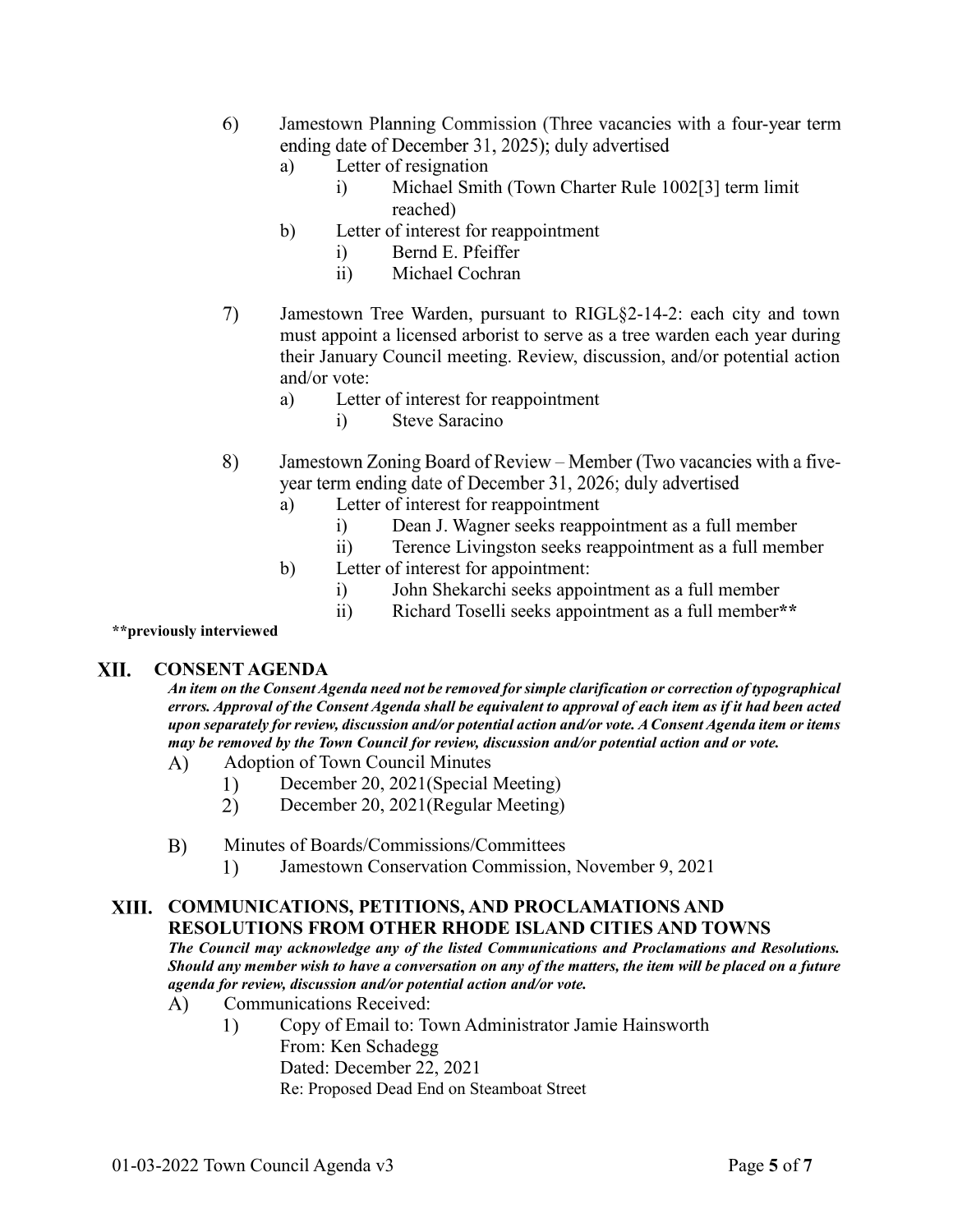- Jamestown Planning Commission (Three vacancies with a four-year term 6) ending date of December 31, 2025); duly advertised
	- a) Letter of resignation
		- i) Michael Smith (Town Charter Rule 1002[3] term limit reached)
	- b) Letter of interest for reappointment
		- i) Bernd E. Pfeiffer
		- ii) Michael Cochran
- 7) Jamestown Tree Warden, pursuant to RIGL§2-14-2: each city and town must appoint a licensed arborist to serve as a tree warden each year during their January Council meeting. Review, discussion, and/or potential action and/or vote:
	- a) Letter of interest for reappointment
		- i) Steve Saracino
- 8) Jamestown Zoning Board of Review - Member (Two vacancies with a fiveyear term ending date of December 31, 2026; duly advertised
	- a) Letter of interest for reappointment
		- i) Dean J. Wagner seeks reappointment as a full member
		- ii) Terence Livingston seeks reappointment as a full member
	- b) Letter of interest for appointment:
		- i) John Shekarchi seeks appointment as a full member
		- ii) Richard Toselli seeks appointment as a full member**\*\***

**\*\*previously interviewed**

#### XII. **CONSENT AGENDA**

*An item on the Consent Agenda need not be removed for simple clarification or correction of typographical errors. Approval of the Consent Agenda shall be equivalent to approval of each item as if it had been acted upon separately for review, discussion and/or potential action and/or vote. A Consent Agenda item or items may be removed by the Town Council for review, discussion and/or potential action and or vote.*

- Adoption of Town Council Minutes A)
	- December 20, 2021(Special Meeting)  $1)$
	- $2)$ December 20, 2021(Regular Meeting)

#### $B)$ Minutes of Boards/Commissions/Committees

Jamestown Conservation Commission, November 9, 2021  $\left( \frac{1}{2} \right)$ 

### **COMMUNICATIONS, PETITIONS, AND PROCLAMATIONS AND RESOLUTIONS FROM OTHER RHODE ISLAND CITIES AND TOWNS**

*The Council may acknowledge any of the listed Communications and Proclamations and Resolutions. Should any member wish to have a conversation on any of the matters, the item will be placed on a future agenda for review, discussion and/or potential action and/or vote.* 

- Communications Received:  $\bf{A}$ 
	- $1)$ Copy of Email to: Town Administrator Jamie Hainsworth From: Ken Schadegg Dated: December 22, 2021 Re: Proposed Dead End on Steamboat Street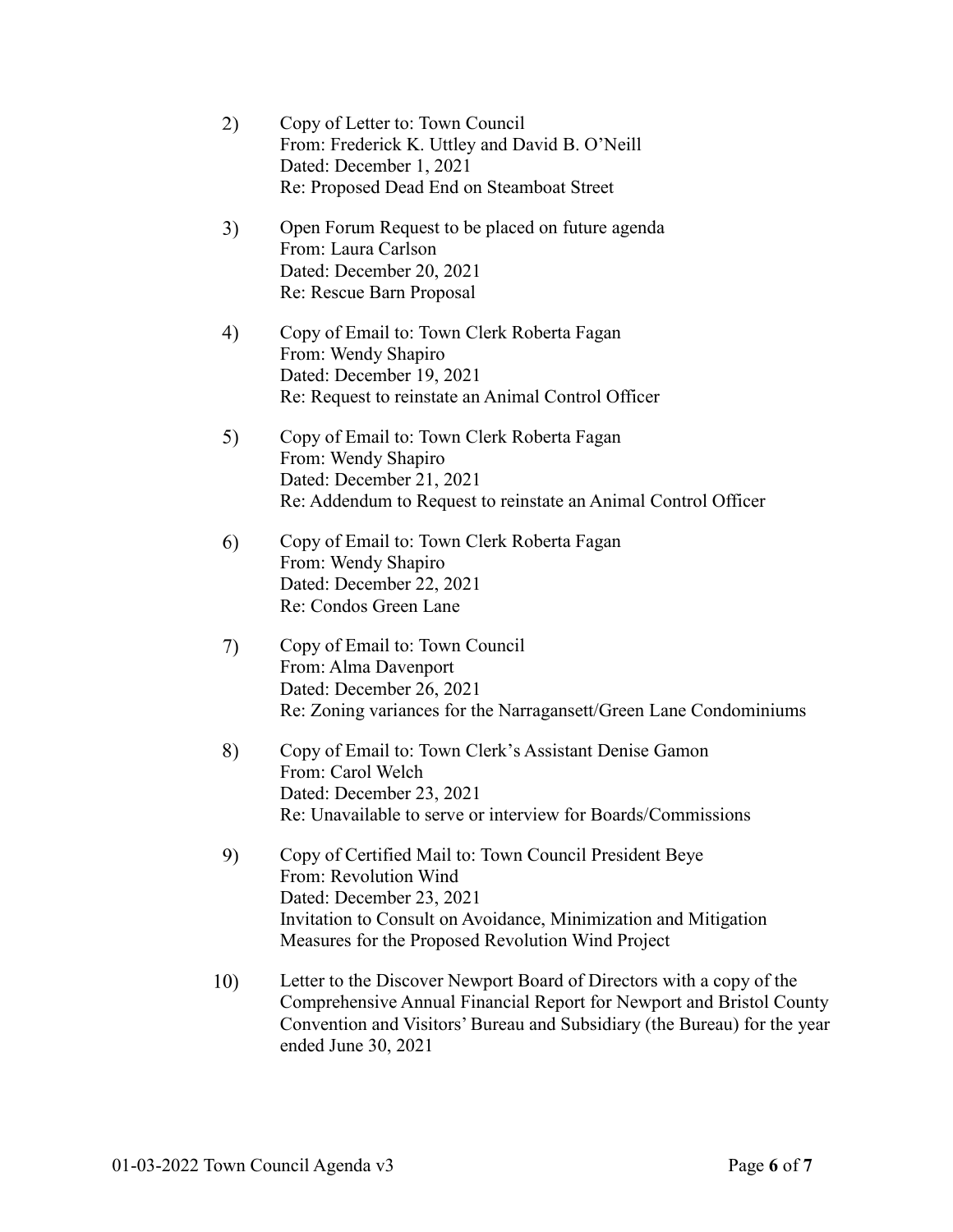| 2)  | Copy of Letter to: Town Council<br>From: Frederick K. Uttley and David B. O'Neill<br>Dated: December 1, 2021<br>Re: Proposed Dead End on Steamboat Street                                                                           |
|-----|-------------------------------------------------------------------------------------------------------------------------------------------------------------------------------------------------------------------------------------|
| 3)  | Open Forum Request to be placed on future agenda<br>From: Laura Carlson<br>Dated: December 20, 2021<br>Re: Rescue Barn Proposal                                                                                                     |
| 4)  | Copy of Email to: Town Clerk Roberta Fagan<br>From: Wendy Shapiro<br>Dated: December 19, 2021<br>Re: Request to reinstate an Animal Control Officer                                                                                 |
| 5)  | Copy of Email to: Town Clerk Roberta Fagan<br>From: Wendy Shapiro<br>Dated: December 21, 2021<br>Re: Addendum to Request to reinstate an Animal Control Officer                                                                     |
| 6)  | Copy of Email to: Town Clerk Roberta Fagan<br>From: Wendy Shapiro<br>Dated: December 22, 2021<br>Re: Condos Green Lane                                                                                                              |
| 7)  | Copy of Email to: Town Council<br>From: Alma Davenport<br>Dated: December 26, 2021<br>Re: Zoning variances for the Narragansett/Green Lane Condominiums                                                                             |
| 8)  | Copy of Email to: Town Clerk's Assistant Denise Gamon<br>From: Carol Welch<br>Dated: December 23, 2021<br>Re: Unavailable to serve or interview for Boards/Commissions                                                              |
| 9)  | Copy of Certified Mail to: Town Council President Beye<br>From: Revolution Wind<br>Dated: December 23, 2021<br>Invitation to Consult on Avoidance, Minimization and Mitigation<br>Measures for the Proposed Revolution Wind Project |
| 10) | Letter to the Discover Newport Board of Directors with a copy of the<br>Comprehensive Annual Financial Report for Newport and Bristol County<br>Convention and Visitors' Bureau and Subsidiary (the Bureau) for the year            |

ended June 30, 2021